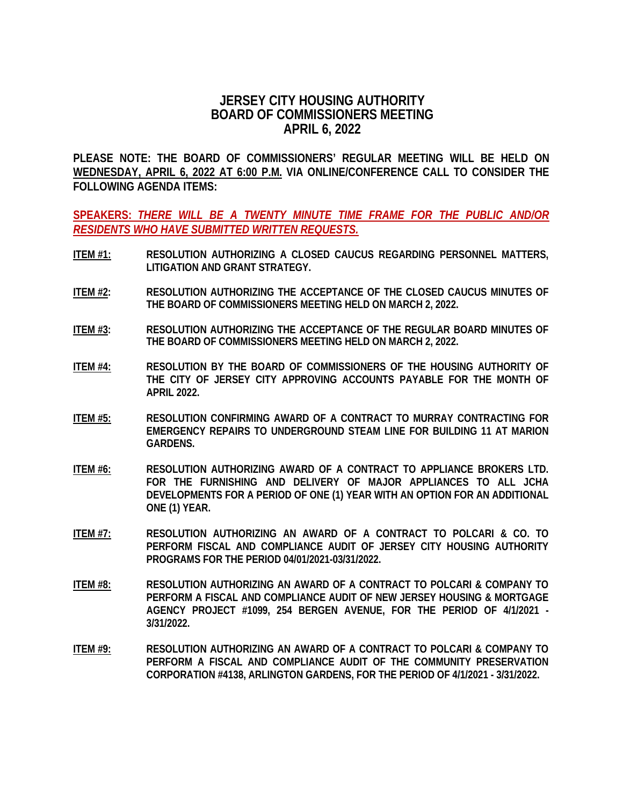## **JERSEY CITY HOUSING AUTHORITY BOARD OF COMMISSIONERS MEETING APRIL 6, 2022**

**PLEASE NOTE: THE BOARD OF COMMISSIONERS' REGULAR MEETING WILL BE HELD ON WEDNESDAY, APRIL 6, 2022 AT 6:00 P.M. VIA ONLINE/CONFERENCE CALL TO CONSIDER THE FOLLOWING AGENDA ITEMS:**

**SPEAKERS:** *THERE WILL BE A TWENTY MINUTE TIME FRAME FOR THE PUBLIC AND/OR RESIDENTS WHO HAVE SUBMITTED WRITTEN REQUESTS.*

- **ITEM #1: RESOLUTION AUTHORIZING A CLOSED CAUCUS REGARDING PERSONNEL MATTERS, LITIGATION AND GRANT STRATEGY.**
- **ITEM #2: RESOLUTION AUTHORIZING THE ACCEPTANCE OF THE CLOSED CAUCUS MINUTES OF THE BOARD OF COMMISSIONERS MEETING HELD ON MARCH 2, 2022.**
- **ITEM #3: RESOLUTION AUTHORIZING THE ACCEPTANCE OF THE REGULAR BOARD MINUTES OF THE BOARD OF COMMISSIONERS MEETING HELD ON MARCH 2, 2022.**
- **ITEM #4: RESOLUTION BY THE BOARD OF COMMISSIONERS OF THE HOUSING AUTHORITY OF THE CITY OF JERSEY CITY APPROVING ACCOUNTS PAYABLE FOR THE MONTH OF APRIL 2022.**
- **ITEM #5: RESOLUTION CONFIRMING AWARD OF A CONTRACT TO MURRAY CONTRACTING FOR EMERGENCY REPAIRS TO UNDERGROUND STEAM LINE FOR BUILDING 11 AT MARION GARDENS.**
- **ITEM #6: RESOLUTION AUTHORIZING AWARD OF A CONTRACT TO APPLIANCE BROKERS LTD. FOR THE FURNISHING AND DELIVERY OF MAJOR APPLIANCES TO ALL JCHA DEVELOPMENTS FOR A PERIOD OF ONE (1) YEAR WITH AN OPTION FOR AN ADDITIONAL ONE (1) YEAR.**
- **ITEM #7: RESOLUTION AUTHORIZING AN AWARD OF A CONTRACT TO POLCARI & CO. TO PERFORM FISCAL AND COMPLIANCE AUDIT OF JERSEY CITY HOUSING AUTHORITY PROGRAMS FOR THE PERIOD 04/01/2021-03/31/2022.**
- **ITEM #8: RESOLUTION AUTHORIZING AN AWARD OF A CONTRACT TO POLCARI & COMPANY TO PERFORM A FISCAL AND COMPLIANCE AUDIT OF NEW JERSEY HOUSING & MORTGAGE AGENCY PROJECT #1099, 254 BERGEN AVENUE, FOR THE PERIOD OF 4/1/2021 - 3/31/2022.**
- **ITEM #9: RESOLUTION AUTHORIZING AN AWARD OF A CONTRACT TO POLCARI & COMPANY TO PERFORM A FISCAL AND COMPLIANCE AUDIT OF THE COMMUNITY PRESERVATION CORPORATION #4138, ARLINGTON GARDENS, FOR THE PERIOD OF 4/1/2021 - 3/31/2022.**